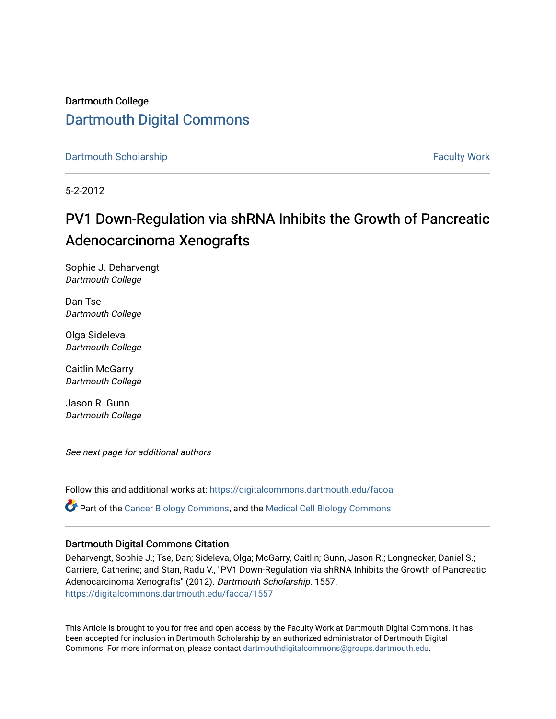Dartmouth College [Dartmouth Digital Commons](https://digitalcommons.dartmouth.edu/) 

[Dartmouth Scholarship](https://digitalcommons.dartmouth.edu/facoa) [Faculty Work](https://digitalcommons.dartmouth.edu/faculty) and The Basic Scholarship Faculty Work Faculty Work

5-2-2012

# PV1 Down-Regulation via shRNA Inhibits the Growth of Pancreatic Adenocarcinoma Xenografts

Sophie J. Deharvengt Dartmouth College

Dan Tse Dartmouth College

Olga Sideleva Dartmouth College

Caitlin McGarry Dartmouth College

Jason R. Gunn Dartmouth College

See next page for additional authors

Follow this and additional works at: [https://digitalcommons.dartmouth.edu/facoa](https://digitalcommons.dartmouth.edu/facoa?utm_source=digitalcommons.dartmouth.edu%2Ffacoa%2F1557&utm_medium=PDF&utm_campaign=PDFCoverPages) Part of the [Cancer Biology Commons,](http://network.bepress.com/hgg/discipline/12?utm_source=digitalcommons.dartmouth.edu%2Ffacoa%2F1557&utm_medium=PDF&utm_campaign=PDFCoverPages) and the [Medical Cell Biology Commons](http://network.bepress.com/hgg/discipline/669?utm_source=digitalcommons.dartmouth.edu%2Ffacoa%2F1557&utm_medium=PDF&utm_campaign=PDFCoverPages) 

#### Dartmouth Digital Commons Citation

Deharvengt, Sophie J.; Tse, Dan; Sideleva, Olga; McGarry, Caitlin; Gunn, Jason R.; Longnecker, Daniel S.; Carriere, Catherine; and Stan, Radu V., "PV1 Down-Regulation via shRNA Inhibits the Growth of Pancreatic Adenocarcinoma Xenografts" (2012). Dartmouth Scholarship. 1557. [https://digitalcommons.dartmouth.edu/facoa/1557](https://digitalcommons.dartmouth.edu/facoa/1557?utm_source=digitalcommons.dartmouth.edu%2Ffacoa%2F1557&utm_medium=PDF&utm_campaign=PDFCoverPages) 

This Article is brought to you for free and open access by the Faculty Work at Dartmouth Digital Commons. It has been accepted for inclusion in Dartmouth Scholarship by an authorized administrator of Dartmouth Digital Commons. For more information, please contact [dartmouthdigitalcommons@groups.dartmouth.edu](mailto:dartmouthdigitalcommons@groups.dartmouth.edu).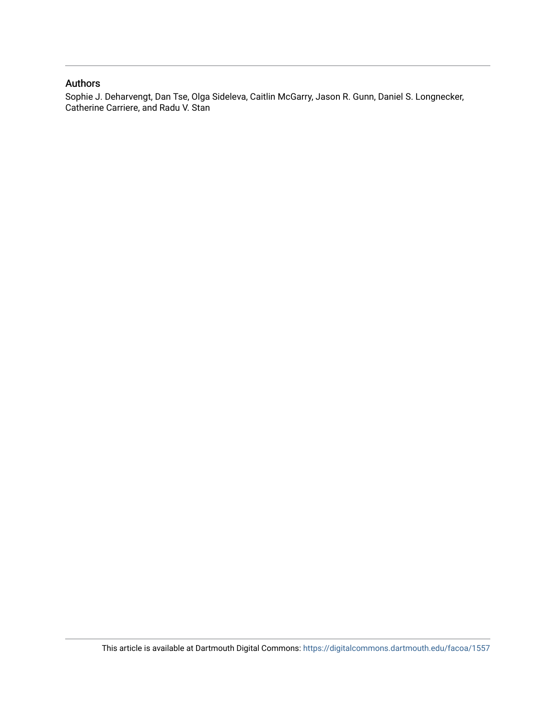#### Authors

Sophie J. Deharvengt, Dan Tse, Olga Sideleva, Caitlin McGarry, Jason R. Gunn, Daniel S. Longnecker, Catherine Carriere, and Radu V. Stan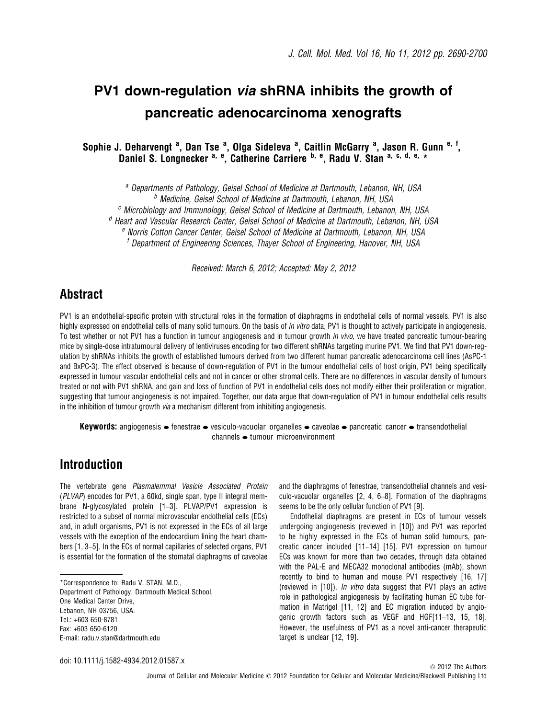# PV1 down-regulation via shRNA inhibits the growth of pancreatic adenocarcinoma xenografts

Sophie J. Deharvengt <sup>a</sup>, Dan Tse <sup>a</sup>, Olga Sideleva <sup>a</sup>, Caitlin McGarry <sup>a</sup>, Jason R. Gunn <sup>e, f</sup>, Daniel S. Longnecker <sup>a, e</sup>, Catherine Carriere <sup>b, e</sup>, Radu V. Stan <sup>a, c, d, e, \*</sup>

<sup>a</sup> Departments of Pathology, Geisel School of Medicine at Dartmouth, Lebanon, NH, USA <sup>b</sup> Medicine, Geisel School of Medicine at Dartmouth, Lebanon, NH, USA  $c$  Microbiology and Immunology, Geisel School of Medicine at Dartmouth, Lebanon, NH, USA

<sup>d</sup> Heart and Vascular Research Center, Geisel School of Medicine at Dartmouth, Lebanon, NH, USA

<sup>e</sup> Norris Cotton Cancer Center, Geisel School of Medicine at Dartmouth, Lebanon, NH, USA

<sup>f</sup> Department of Engineering Sciences, Thayer School of Engineering, Hanover, NH, USA

Received: March 6, 2012; Accepted: May 2, 2012

### Abstract

PV1 is an endothelial-specific protein with structural roles in the formation of diaphragms in endothelial cells of normal vessels. PV1 is also highly expressed on endothelial cells of many solid tumours. On the basis of *in vitro* data, PV1 is thought to actively participate in angiogenesis. To test whether or not PV1 has a function in tumour angiogenesis and in tumour growth in vivo, we have treated pancreatic tumour-bearing mice by single-dose intratumoural delivery of lentiviruses encoding for two different shRNAs targeting murine PV1. We find that PV1 down-regulation by shRNAs inhibits the growth of established tumours derived from two different human pancreatic adenocarcinoma cell lines (AsPC-1 and BxPC-3). The effect observed is because of down-regulation of PV1 in the tumour endothelial cells of host origin, PV1 being specifically expressed in tumour vascular endothelial cells and not in cancer or other stromal cells. There are no differences in vascular density of tumours treated or not with PV1 shRNA, and gain and loss of function of PV1 in endothelial cells does not modify either their proliferation or migration, suggesting that tumour angiogenesis is not impaired. Together, our data argue that down-regulation of PV1 in tumour endothelial cells results in the inhibition of tumour growth *via* a mechanism different from inhibiting angiogenesis.

**Keywords:** angiogenesis  $\bullet$  fenestrae  $\bullet$  vesiculo-vacuolar organelles  $\bullet$  caveolae  $\bullet$  pancreatic cancer  $\bullet$  transendothelial  $channels \rightarrow tumour microenvironment$ 

### Introduction

The vertebrate gene Plasmalemmal Vesicle Associated Protein (PLVAP) encodes for PV1, a 60kd, single span, type II integral membrane N-glycosylated protein [1–3]. PLVAP/PV1 expression is restricted to a subset of normal microvascular endothelial cells (ECs) and, in adult organisms, PV1 is not expressed in the ECs of all large vessels with the exception of the endocardium lining the heart chambers [1, 3–5]. In the ECs of normal capillaries of selected organs, PV1 is essential for the formation of the stomatal diaphragms of caveolae

Department of Pathology, Dartmouth Medical School, One Medical Center Drive, Lebanon, NH 03756, USA. Tel.: +603 650-8781 Fax: +603 650-6120 E-mail: radu.v.stan@dartmouth.edu

and the diaphragms of fenestrae, transendothelial channels and vesiculo-vacuolar organelles [2, 4, 6–8]. Formation of the diaphragms seems to be the only cellular function of PV1 [9].

Endothelial diaphragms are present in ECs of tumour vessels undergoing angiogenesis (reviewed in [10]) and PV1 was reported to be highly expressed in the ECs of human solid tumours, pancreatic cancer included [11–14] [15]. PV1 expression on tumour ECs was known for more than two decades, through data obtained with the PAL-E and MECA32 monoclonal antibodies (mAb), shown recently to bind to human and mouse PV1 respectively [16, 17] (reviewed in [10]). *In vitro* data suggest that PV1 plays an active role in pathological angiogenesis by facilitating human EC tube formation in Matrigel [11, 12] and EC migration induced by angiogenic growth factors such as VEGF and HGF[11–13, 15, 18]. However, the usefulness of PV1 as a novel anti-cancer therapeutic target is unclear [12, 19].

<sup>\*</sup>Correspondence to: Radu V. STAN, M.D.,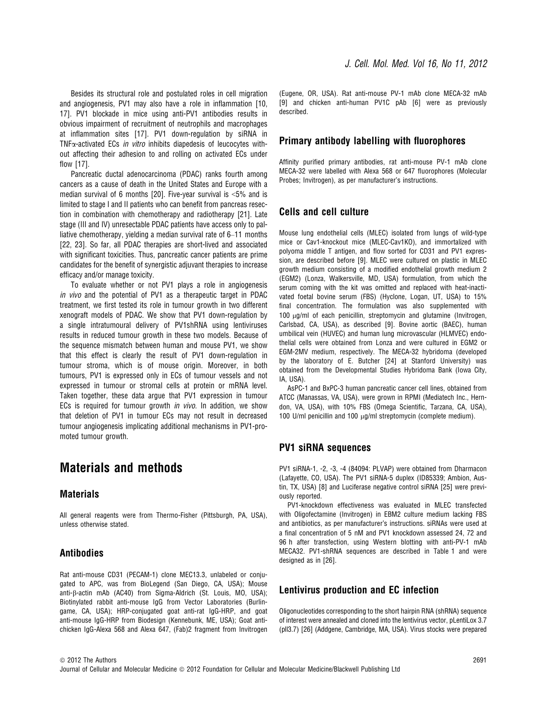Besides its structural role and postulated roles in cell migration and angiogenesis, PV1 may also have a role in inflammation [10, 17]. PV1 blockade in mice using anti-PV1 antibodies results in obvious impairment of recruitment of neutrophils and macrophages at inflammation sites [17]. PV1 down-regulation by siRNA in TNF<sub>x</sub>-activated ECs in vitro inhibits diapedesis of leucocytes without affecting their adhesion to and rolling on activated ECs under flow [17].

Pancreatic ductal adenocarcinoma (PDAC) ranks fourth among cancers as a cause of death in the United States and Europe with a median survival of 6 months [20]. Five-year survival is <5% and is limited to stage I and II patients who can benefit from pancreas resection in combination with chemotherapy and radiotherapy [21]. Late stage (III and IV) unresectable PDAC patients have access only to palliative chemotherapy, yielding a median survival rate of 6–11 months [22, 23]. So far, all PDAC therapies are short-lived and associated with significant toxicities. Thus, pancreatic cancer patients are prime candidates for the benefit of synergistic adjuvant therapies to increase efficacy and/or manage toxicity.

To evaluate whether or not PV1 plays a role in angiogenesis in vivo and the potential of PV1 as a therapeutic target in PDAC treatment, we first tested its role in tumour growth in two different xenograft models of PDAC. We show that PV1 down-regulation by a single intratumoural delivery of PV1shRNA using lentiviruses results in reduced tumour growth in these two models. Because of the sequence mismatch between human and mouse PV1, we show that this effect is clearly the result of PV1 down-regulation in tumour stroma, which is of mouse origin. Moreover, in both tumours, PV1 is expressed only in ECs of tumour vessels and not expressed in tumour or stromal cells at protein or mRNA level. Taken together, these data argue that PV1 expression in tumour ECs is required for tumour growth *in vivo*. In addition, we show that deletion of PV1 in tumour ECs may not result in decreased tumour angiogenesis implicating additional mechanisms in PV1-promoted tumour growth.

### Materials and methods

#### **Materials**

All general reagents were from Thermo-Fisher (Pittsburgh, PA, USA), unless otherwise stated.

#### Antibodies

Rat anti-mouse CD31 (PECAM-1) clone MEC13.3, unlabeled or conjugated to APC, was from BioLegend (San Diego, CA, USA); Mouse anti- $\beta$ -actin mAb (AC40) from Sigma-Aldrich (St. Louis, MO, USA); Biotinylated rabbit anti-mouse IgG from Vector Laboratories (Burlingame, CA, USA); HRP-conjugated goat anti-rat IgG-HRP, and goat anti-mouse IgG-HRP from Biodesign (Kennebunk, ME, USA); Goat antichicken IgG-Alexa 568 and Alexa 647, (Fab)2 fragment from Invitrogen

(Eugene, OR, USA). Rat anti-mouse PV-1 mAb clone MECA-32 mAb [9] and chicken anti-human PV1C pAb [6] were as previously described.

#### Primary antibody labelling with fluorophores

Affinity purified primary antibodies, rat anti-mouse PV-1 mAb clone MECA-32 were labelled with Alexa 568 or 647 fluorophores (Molecular Probes; Invitrogen), as per manufacturer's instructions.

#### Cells and cell culture

Mouse lung endothelial cells (MLEC) isolated from lungs of wild-type mice or Cav1-knockout mice (MLEC-Cav1KO), and immortalized with polyoma middle T antigen, and flow sorted for CD31 and PV1 expression, are described before [9]. MLEC were cultured on plastic in MLEC growth medium consisting of a modified endothelial growth medium 2 (EGM2) (Lonza, Walkersville, MD, USA) formulation, from which the serum coming with the kit was omitted and replaced with heat-inactivated foetal bovine serum (FBS) (Hyclone, Logan, UT, USA) to 15% final concentration. The formulation was also supplemented with 100 μg/ml of each penicillin, streptomycin and glutamine (Invitrogen, Carlsbad, CA, USA), as described [9]. Bovine aortic (BAEC), human umbilical vein (HUVEC) and human lung microvascular (HLMVEC) endothelial cells were obtained from Lonza and were cultured in EGM2 or EGM-2MV medium, respectively. The MECA-32 hybridoma (developed by the laboratory of E. Butcher [24] at Stanford University) was obtained from the Developmental Studies Hybridoma Bank (Iowa City, IA, USA).

AsPC-1 and BxPC-3 human pancreatic cancer cell lines, obtained from ATCC (Manassas, VA, USA), were grown in RPMI (Mediatech Inc., Herndon, VA, USA), with 10% FBS (Omega Scientific, Tarzana, CA, USA), 100 U/ml penicillin and 100  $\mu$ g/ml streptomycin (complete medium).

#### PV1 siRNA sequences

PV1 siRNA-1, -2, -3, -4 (84094: PLVAP) were obtained from Dharmacon (Lafayette, CO, USA). The PV1 siRNA-5 duplex (ID85339; Ambion, Austin, TX, USA) [8] and Luciferase negative control siRNA [25] were previously reported.

PV1-knockdown effectiveness was evaluated in MLEC transfected with Oligofectamine (Invitrogen) in EBM2 culture medium lacking FBS and antibiotics, as per manufacturer's instructions. siRNAs were used at a final concentration of 5 nM and PV1 knockdown assessed 24, 72 and 96 h after transfection, using Western blotting with anti-PV-1 mAb MECA32. PV1-shRNA sequences are described in Table 1 and were designed as in [26].

#### Lentivirus production and EC infection

Oligonucleotides corresponding to the short hairpin RNA (shRNA) sequence of interest were annealed and cloned into the lentivirus vector, pLentiLox 3.7 (pll3.7) [26] (Addgene, Cambridge, MA, USA). Virus stocks were prepared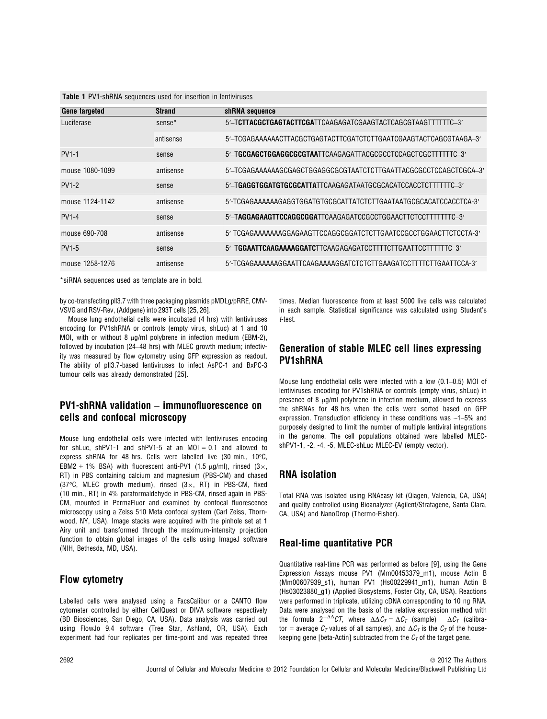| <b>Table 1</b> PV1-shRNA sequences used for insertion in lentiviruses |  |
|-----------------------------------------------------------------------|--|
|-----------------------------------------------------------------------|--|

| <b>Gene targeted</b> | <b>Strand</b>      | shRNA sequence                                                    |
|----------------------|--------------------|-------------------------------------------------------------------|
| Luciferase           | sense <sup>*</sup> | 5'-TCTTACGCTGAGTACTTCGATTCAAGAGATCGAAGTACTCAGCGTAAGTTTTTTC-3'     |
|                      | antisense          | 5'-TCGAGAAAAAACTTACGCTGAGTACTTCGATCTCTTGAATCGAAGTACTCAGCGTAAGA-3' |
| <b>PV1-1</b>         | sense              | 5'-TGCGAGCTGGAGGCGCGTAATTCAAGAGATTACGCGCCTCCAGCTCGCTTTTTTC-3'     |
| mouse 1080-1099      | antisense          | 5'-TCGAGAAAAAAGCGAGCTGGAGGCGCGTAATCTCTTGAATTACGCGCCTCCAGCTCGCA-3' |
| <b>PV1-2</b>         | sense              | 5'-TGAGGTGGATGTGCGCATTATTCAAGAGATAATGCGCACATCCACCTCTTTTTTC-3'     |
| mouse 1124-1142      | antisense          | 5'-TCGAGAAAAAAGAGGTGGATGTGCGCATTATCTCTTGAATAATGCGCACATCCACCTCA-3' |
| <b>PV1-4</b>         | sense              | 5'-TAGGAGAAGTTCCAGGCGGATTCAAGAGATCCGCCTGGAACTTCTCCTTTTTTTC-3'     |
| mouse 690-708        | antisense          | 5' TCGAGAAAAAAAGGAGAAGTTCCAGGCGGATCTCTTGAATCCGCCTGGAACTTCTCCTA-3' |
| <b>PV1-5</b>         | sense              | 5'-TGGAATTCAAGAAAAGGATCTTCAAGAGAGATCCTTTTCTTGAATTCCTTTTTTC-3'     |
| mouse 1258-1276      | antisense          | 5'-TCGAGAAAAAAGGAATTCAAGAAAAGGATCTCTCTTGAAGATCCTTTTCTTGAATTCCA-3' |

\*siRNA sequences used as template are in bold.

by co-transfecting pll3.7 with three packaging plasmids pMDLg/pRRE, CMV-VSVG and RSV-Rev, (Addgene) into 293T cells [25, 26].

Mouse lung endothelial cells were incubated (4 hrs) with lentiviruses encoding for PV1shRNA or controls (empty virus, shLuc) at 1 and 10 MOI, with or without 8  $\mu$ g/ml polybrene in infection medium (EBM-2), followed by incubation (24–48 hrs) with MLEC growth medium; infectivity was measured by flow cytometry using GFP expression as readout. The ability of pll3.7-based lentiviruses to infect AsPC-1 and BxPC-3 tumour cells was already demonstrated [25].

#### PV1-shRNA validation – immunofluorescence on cells and confocal microscopy

Mouse lung endothelial cells were infected with lentiviruses encoding for shLuc, shPV1-1 and shPV1-5 at an MOI = 0.1 and allowed to express shRNA for 48 hrs. Cells were labelled live (30 min., 10°C, EBM2 + 1% BSA) with fluorescent anti-PV1 (1.5  $\mu$ g/ml), rinsed (3×, RT) in PBS containing calcium and magnesium (PBS-CM) and chased (37 $\degree$ C, MLEC growth medium), rinsed (3 $\times$ , RT) in PBS-CM, fixed (10 min., RT) in 4% paraformaldehyde in PBS-CM, rinsed again in PBS-CM, mounted in PermaFluor and examined by confocal fluorescence microscopy using a Zeiss 510 Meta confocal system (Carl Zeiss, Thornwood, NY, USA). Image stacks were acquired with the pinhole set at 1 Airy unit and transformed through the maximum-intensity projection function to obtain global images of the cells using ImageJ software (NIH, Bethesda, MD, USA).

#### Flow cytometry

Labelled cells were analysed using a FacsCalibur or a CANTO flow cytometer controlled by either CellQuest or DIVA software respectively (BD Biosciences, San Diego, CA, USA). Data analysis was carried out using FlowJo 9.4 software (Tree Star, Ashland, OR, USA). Each experiment had four replicates per time-point and was repeated three

times. Median fluorescence from at least 5000 live cells was calculated in each sample. Statistical significance was calculated using Student's t-test.

#### Generation of stable MLEC cell lines expressing PV1shRNA

Mouse lung endothelial cells were infected with a low (0.1–0.5) MOI of lentiviruses encoding for PV1shRNA or controls (empty virus, shLuc) in presence of 8  $\mu$ g/ml polybrene in infection medium, allowed to express the shRNAs for 48 hrs when the cells were sorted based on GFP expression. Transduction efficiency in these conditions was ~1–5% and purposely designed to limit the number of multiple lentiviral integrations in the genome. The cell populations obtained were labelled MLECshPV1-1, -2, -4, -5, MLEC-shLuc MLEC-EV (empty vector).

#### RNA isolation

Total RNA was isolated using RNAeasy kit (Qiagen, Valencia, CA, USA) and quality controlled using Bioanalyzer (Agilent/Stratagene, Santa Clara, CA, USA) and NanoDrop (Thermo-Fisher).

#### Real-time quantitative PCR

Quantitative real-time PCR was performed as before [9], using the Gene Expression Assays mouse PV1 (Mm00453379 m1), mouse Actin B (Mm00607939\_s1), human PV1 (Hs00229941\_m1), human Actin B (Hs03023880\_g1) (Applied Biosystems, Foster City, CA, USA). Reactions were performed in triplicate, utilizing cDNA corresponding to 10 ng RNA. Data were analysed on the basis of the relative expression method with the formula  $2^{-\Delta\Delta}CT$ , where  $\Delta\Delta C_T = \Delta C_T$  (sample)  $-\Delta C_T$  (calibrator = average  $C_T$  values of all samples), and  $\Delta C_T$  is the  $C_T$  of the housekeeping gene [beta-Actin] subtracted from the  $C<sub>\tau</sub>$  of the target gene.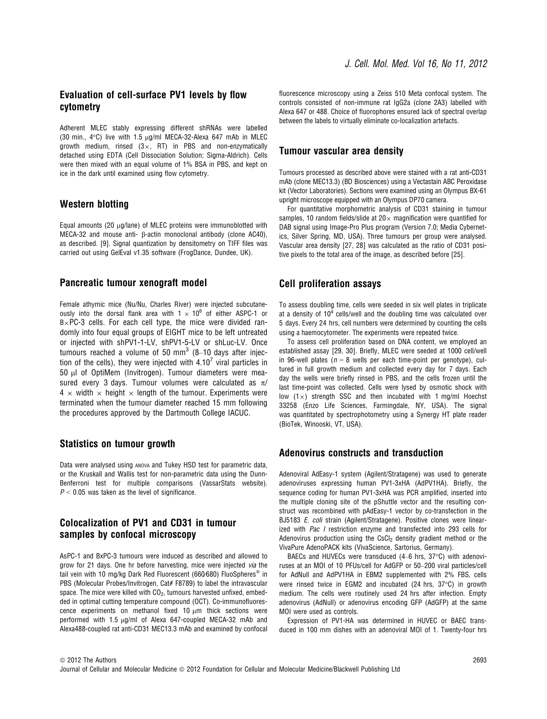#### Evaluation of cell-surface PV1 levels by flow cytometry

Adherent MLEC stably expressing different shRNAs were labelled (30 min.,  $4^{\circ}$ C) live with 1.5  $\mu$ g/ml MECA-32-Alexa 647 mAb in MLEC growth medium, rinsed  $(3 \times, RT)$  in PBS and non-enzymatically detached using EDTA (Cell Dissociation Solution; Sigma-Aldrich). Cells were then mixed with an equal volume of 1% BSA in PBS, and kept on ice in the dark until examined using flow cytometry.

#### Western blotting

Equal amounts (20  $\mu$ g/lane) of MLEC proteins were immunoblotted with MECA-32 and mouse anti-  $\beta$ -actin monoclonal antibody (clone AC40), as described. [9]. Signal quantization by densitometry on TIFF files was carried out using GelEval v1.35 software (FrogDance, Dundee, UK).

#### Pancreatic tumour xenograft model

Female athymic mice (Nu/Nu, Charles River) were injected subcutaneously into the dorsal flank area with  $1 \times 10^6$  of either ASPC-1 or  $B \times PC$ -3 cells. For each cell type, the mice were divided randomly into four equal groups of EIGHT mice to be left untreated or injected with shPV1-1-LV, shPV1-5-LV or shLuc-LV. Once tumours reached a volume of 50  $\text{mm}^3$  (8–10 days after injection of the cells), they were injected with  $4.10<sup>7</sup>$  viral particles in 50 µl of OptiMem (Invitrogen). Tumour diameters were measured every 3 days. Tumour volumes were calculated as  $\pi$ /  $4 \times$  width  $\times$  height  $\times$  length of the tumour. Experiments were terminated when the tumour diameter reached 15 mm following the procedures approved by the Dartmouth College IACUC.

#### Statistics on tumour growth

Data were analysed using ANOVA and Tukey HSD test for parametric data, or the Kruskall and Wallis test for non-parametric data using the Dunn-Benferroni test for multiple comparisons (VassarStats website).  $P < 0.05$  was taken as the level of significance.

#### Colocalization of PV1 and CD31 in tumour samples by confocal microscopy

AsPC-1 and BxPC-3 tumours were induced as described and allowed to grow for 21 days. One hr before harvesting, mice were injected via the tail vein with 10 mg/kg Dark Red Fluorescent (660/680) FluoSpheres<sup>®</sup> in PBS (Molecular Probes/Invitrogen, Cat# F8789) to label the intravascular space. The mice were killed with  $CO<sub>2</sub>$ , tumours harvested unfixed, embedded in optimal cutting temperature compound (OCT). Co-immunofluorescence experiments on methanol fixed  $10 \mu m$  thick sections were performed with 1.5  $\mu$ g/ml of Alexa 647-coupled MECA-32 mAb and Alexa488-coupled rat anti-CD31 MEC13.3 mAb and examined by confocal fluorescence microscopy using a Zeiss 510 Meta confocal system. The controls consisted of non-immune rat IgG2a (clone 2A3) labelled with Alexa 647 or 488. Choice of fluorophores ensured lack of spectral overlap between the labels to virtually eliminate co-localization artefacts.

#### Tumour vascular area density

Tumours processed as described above were stained with a rat anti-CD31 mAb (clone MEC13.3) (BD Biosciences) using a Vectastain ABC Peroxidase kit (Vector Laboratories). Sections were examined using an Olympus BX-61 upright microscope equipped with an Olympus DP70 camera.

For quantitative morphometric analysis of CD31 staining in tumour samples, 10 random fields/slide at  $20\times$  magnification were quantified for DAB signal using Image-Pro Plus program (Version 7.0; Media Cybernetics, Silver Spring, MD, USA). Three tumours per group were analysed. Vascular area density [27, 28] was calculated as the ratio of CD31 positive pixels to the total area of the image, as described before [25].

#### Cell proliferation assays

To assess doubling time, cells were seeded in six well plates in triplicate at a density of  $10<sup>4</sup>$  cells/well and the doubling time was calculated over 5 days. Every 24 hrs, cell numbers were determined by counting the cells using a haemocytometer. The experiments were repeated twice.

To assess cell proliferation based on DNA content, we employed an established assay [29, 30]. Briefly, MLEC were seeded at 1000 cell/well in 96-well plates ( $n = 8$  wells per each time-point per genotype), cultured in full growth medium and collected every day for 7 days. Each day the wells were briefly rinsed in PBS, and the cells frozen until the last time-point was collected. Cells were lysed by osmotic shock with low  $(1\times)$  strength SSC and then incubated with 1 mg/ml Hoechst 33258 (Enzo Life Sciences, Farmingdale, NY, USA). The signal was quantitated by spectrophotometry using a Synergy HT plate reader (BioTek, Winooski, VT, USA).

#### Adenovirus constructs and transduction

Adenoviral AdEasy-1 system (Agilent/Stratagene) was used to generate adenoviruses expressing human PV1-3xHA (AdPV1HA). Briefly, the sequence coding for human PV1-3xHA was PCR amplified, inserted into the multiple cloning site of the pShuttle vector and the resulting construct was recombined with pAdEasy-1 vector by co-transfection in the BJ5183 E. coli strain (Agilent/Stratagene). Positive clones were linearized with Pac I restriction enzyme and transfected into 293 cells for Adenovirus production using the  $CsCl<sub>2</sub>$  density gradient method or the VivaPure AdenoPACK kits (VivaScience, Sartorius, Germany).

BAECs and HUVECs were transduced (4–6 hrs, 37°C) with adenoviruses at an MOI of 10 PFUs/cell for AdGFP or 50–200 viral particles/cell for AdNull and AdPV1HA in EBM2 supplemented with 2% FBS, cells were rinsed twice in EGM2 and incubated (24 hrs, 37°C) in growth medium. The cells were routinely used 24 hrs after infection. Empty adenovirus (AdNull) or adenovirus encoding GFP (AdGFP) at the same MOI were used as controls.

Expression of PV1-HA was determined in HUVEC or BAEC transduced in 100 mm dishes with an adenoviral MOI of 1. Twenty-four hrs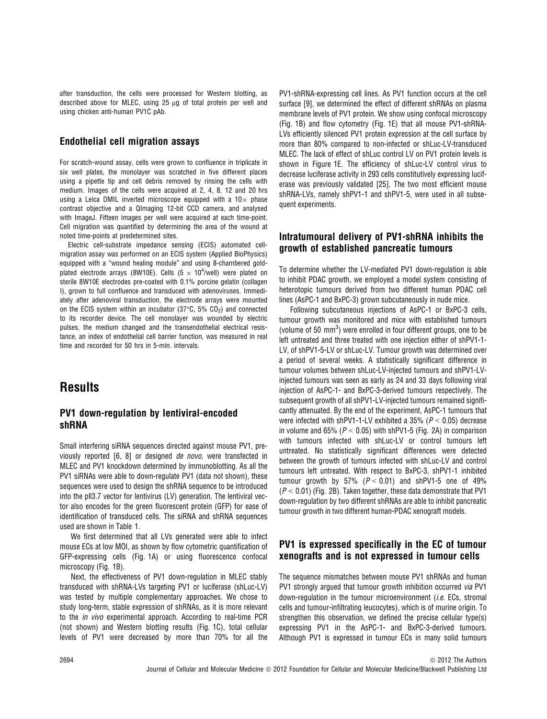after transduction, the cells were processed for Western blotting, as described above for MLEC, using  $25 \mu g$  of total protein per well and using chicken anti-human PV1C pAb.

#### Endothelial cell migration assays

For scratch-wound assay, cells were grown to confluence in triplicate in six well plates, the monolayer was scratched in five different places using a pipette tip and cell debris removed by rinsing the cells with medium. Images of the cells were acquired at 2, 4, 8, 12 and 20 hrs using a Leica DMIL inverted microscope equipped with a  $10\times$  phase contrast objective and a QImaging 12-bit CCD camera, and analysed with ImageJ. Fifteen images per well were acquired at each time-point. Cell migration was quantified by determining the area of the wound at noted time-points at predetermined sites.

Electric cell-substrate impedance sensing (ECIS) automated cellmigration assay was performed on an ECIS system (Applied BioPhysics) equipped with a "wound healing module" and using 8-chambered goldplated electrode arrays (8W10E). Cells (5  $\times$  10<sup>4</sup>/well) were plated on sterile 8W10E electrodes pre-coated with 0.1% porcine gelatin (collagen I), grown to full confluence and transduced with adenoviruses. Immediately after adenoviral transduction, the electrode arrays were mounted on the ECIS system within an incubator (37 $\degree$ C, 5% CO<sub>2</sub>) and connected to its recorder device. The cell monolayer was wounded by electric pulses, the medium changed and the transendothelial electrical resistance, an index of endothelial cell barrier function, was measured in real time and recorded for 50 hrs in 5-min. intervals.

### **Results**

#### PV1 down-regulation by lentiviral-encoded shRNA

Small interfering siRNA sequences directed against mouse PV1, previously reported [6, 8] or designed de novo, were transfected in MLEC and PV1 knockdown determined by immunoblotting. As all the PV1 siRNAs were able to down-regulate PV1 (data not shown), these sequences were used to design the shRNA sequence to be introduced into the pll3.7 vector for lentivirus (LV) generation. The lentiviral vector also encodes for the green fluorescent protein (GFP) for ease of identification of transduced cells. The siRNA and shRNA sequences used are shown in Table 1.

We first determined that all LVs generated were able to infect mouse ECs at low MOI, as shown by flow cytometric quantification of GFP-expressing cells (Fig. 1A) or using fluorescence confocal microscopy (Fig. 1B).

Next, the effectiveness of PV1 down-regulation in MLEC stably transduced with shRNA-LVs targeting PV1 or luciferase (shLuc-LV) was tested by multiple complementary approaches. We chose to study long-term, stable expression of shRNAs, as it is more relevant to the in vivo experimental approach. According to real-time PCR (not shown) and Western blotting results (Fig. 1C), total cellular levels of PV1 were decreased by more than 70% for all the

PV1-shRNA-expressing cell lines. As PV1 function occurs at the cell surface [9], we determined the effect of different shRNAs on plasma membrane levels of PV1 protein. We show using confocal microscopy (Fig. 1B) and flow cytometry (Fig. 1E) that all mouse PV1-shRNA-LVs efficiently silenced PV1 protein expression at the cell surface by more than 80% compared to non-infected or shLuc-LV-transduced MLEC. The lack of effect of shLuc control LV on PV1 protein levels is shown in Figure 1E. The efficiency of shLuc-LV control virus to decrease luciferase activity in 293 cells constitutively expressing luciferase was previously validated [25]. The two most efficient mouse shRNA-LVs, namely shPV1-1 and shPV1-5, were used in all subsequent experiments.

#### Intratumoural delivery of PV1-shRNA inhibits the growth of established pancreatic tumours

To determine whether the LV-mediated PV1 down-regulation is able to inhibit PDAC growth, we employed a model system consisting of heterotopic tumours derived from two different human PDAC cell lines (AsPC-1 and BxPC-3) grown subcutaneously in nude mice.

Following subcutaneous injections of AsPC-1 or BxPC-3 cells, tumour growth was monitored and mice with established tumours (volume of 50 mm<sup>3</sup>) were enrolled in four different groups, one to be left untreated and three treated with one injection either of shPV1-1- LV, of shPV1-5-LV or shLuc-LV. Tumour growth was determined over a period of several weeks. A statistically significant difference in tumour volumes between shLuc-LV-injected tumours and shPV1-LVinjected tumours was seen as early as 24 and 33 days following viral injection of AsPC-1- and BxPC-3-derived tumours respectively. The subsequent growth of all shPV1-LV-injected tumours remained significantly attenuated. By the end of the experiment, AsPC-1 tumours that were infected with shPV1-1-LV exhibited a 35% ( $P < 0.05$ ) decrease in volume and 65% ( $P < 0.05$ ) with shPV1-5 (Fig. 2A) in comparison with tumours infected with shLuc-LV or control tumours left untreated. No statistically significant differences were detected between the growth of tumours infected with shLuc-LV and control tumours left untreated. With respect to BxPC-3, shPV1-1 inhibited tumour growth by 57% ( $P < 0.01$ ) and shPV1-5 one of 49%  $(P < 0.01)$  (Fig. 2B). Taken together, these data demonstrate that PV1 down-regulation by two different shRNAs are able to inhibit pancreatic tumour growth in two different human-PDAC xenograft models.

#### PV1 is expressed specifically in the EC of tumour xenografts and is not expressed in tumour cells

The sequence mismatches between mouse PV1 shRNAs and human PV1 strongly argued that tumour growth inhibition occurred via PV1 down-regulation in the tumour microenvironment *(i.e.* ECs, stromal cells and tumour-infiltrating leucocytes), which is of murine origin. To strengthen this observation, we defined the precise cellular type(s) expressing PV1 in the AsPC-1- and BxPC-3-derived tumours. Although PV1 is expressed in tumour ECs in many solid tumours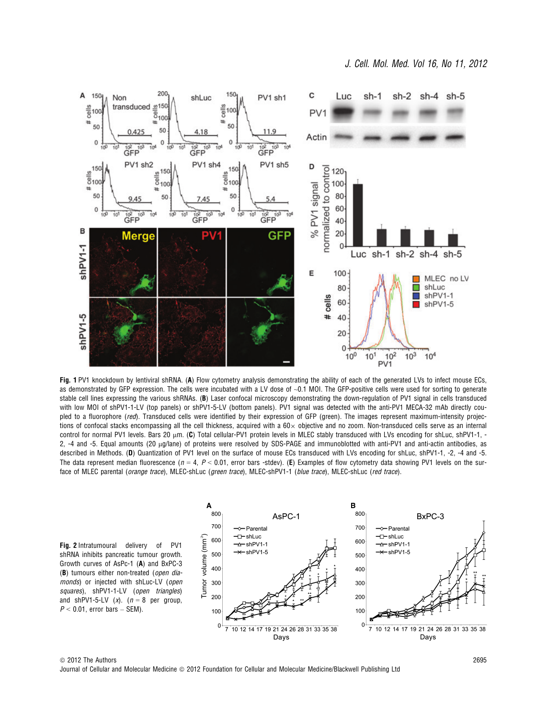

Fig. 1 PV1 knockdown by lentiviral shRNA. (A) Flow cytometry analysis demonstrating the ability of each of the generated LVs to infect mouse ECs, as demonstrated by GFP expression. The cells were incubated with a LV dose of ~0.1 MOI. The GFP-positive cells were used for sorting to generate stable cell lines expressing the various shRNAs. (B) Laser confocal microscopy demonstrating the down-regulation of PV1 signal in cells transduced with low MOI of shPV1-1-LV (top panels) or shPV1-5-LV (bottom panels). PV1 signal was detected with the anti-PV1 MECA-32 mAb directly coupled to a fluorophore (red). Transduced cells were identified by their expression of GFP (green). The images represent maximum-intensity projections of confocal stacks encompassing all the cell thickness, acquired with a  $60 \times$  objective and no zoom. Non-transduced cells serve as an internal control for normal PV1 levels. Bars 20  $\mu$ m. (C) Total cellular-PV1 protein levels in MLEC stably transduced with LVs encoding for shLuc, shPV1-1, -2, -4 and -5. Equal amounts (20 μg/lane) of proteins were resolved by SDS-PAGE and immunoblotted with anti-PV1 and anti-actin antibodies, as described in Methods. (D) Quantization of PV1 level on the surface of mouse ECs transduced with LVs encoding for shLuc, shPV1-1, -2, -4 and -5. The data represent median fluorescence ( $n = 4$ ,  $P < 0.01$ , error bars -stdev). (E) Examples of flow cytometry data showing PV1 levels on the surface of MLEC parental (orange trace), MLEC-shLuc (green trace), MLEC-shPV1-1 (blue trace), MLEC-shLuc (red trace).

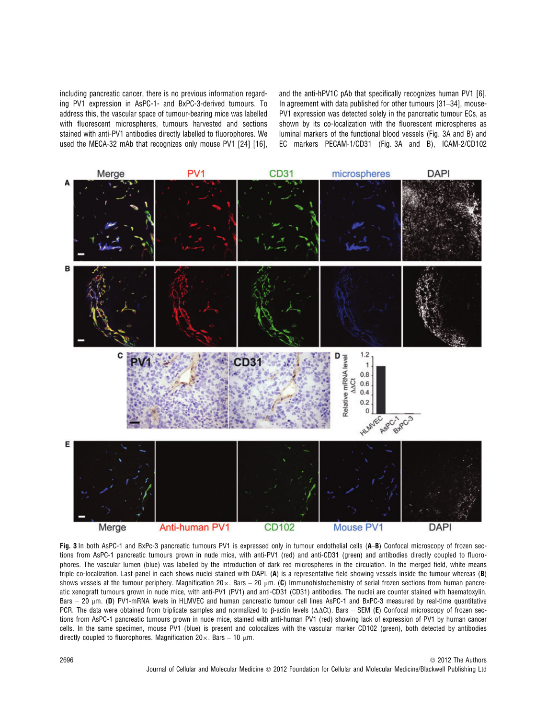including pancreatic cancer, there is no previous information regarding PV1 expression in AsPC-1- and BxPC-3-derived tumours. To address this, the vascular space of tumour-bearing mice was labelled with fluorescent microspheres, tumours harvested and sections stained with anti-PV1 antibodies directly labelled to fluorophores. We used the MECA-32 mAb that recognizes only mouse PV1 [24] [16].

and the anti-hPV1C pAb that specifically recognizes human PV1 [6]. In agreement with data published for other tumours [31–34], mouse-PV1 expression was detected solely in the pancreatic tumour ECs, as shown by its co-localization with the fluorescent microspheres as luminal markers of the functional blood vessels (Fig. 3A and B) and EC markers PECAM-1/CD31 (Fig. 3A and B), ICAM-2/CD102



Fig. 3 In both AsPC-1 and BxPc-3 pancreatic tumours PV1 is expressed only in tumour endothelial cells (A-B) Confocal microscopy of frozen sections from AsPC-1 pancreatic tumours grown in nude mice, with anti-PV1 (red) and anti-CD31 (green) and antibodies directly coupled to fluorophores. The vascular lumen (blue) was labelled by the introduction of dark red microspheres in the circulation. In the merged field, white means triple co-localization. Last panel in each shows nuclei stained with DAPI. (A) is a representative field showing vessels inside the tumour whereas (B) shows vessels at the tumour periphery. Magnification  $20 \times$ . Bars – 20 µm. (C) Immunohistochemistry of serial frozen sections from human pancreatic xenograft tumours grown in nude mice, with anti-PV1 (PV1) and anti-CD31 (CD31) antibodies. The nuclei are counter stained with haematoxylin. Bars  $-$  20  $\mu$ m. (D) PV1-mRNA levels in HLMVEC and human pancreatic tumour cell lines AsPC-1 and BxPC-3 measured by real-time quantitative PCR. The data were obtained from triplicate samples and normalized to  $\beta$ -actin levels ( $\Delta\Delta$ Ct). Bars – SEM (E) Confocal microscopy of frozen sections from AsPC-1 pancreatic tumours grown in nude mice, stained with anti-human PV1 (red) showing lack of expression of PV1 by human cancer cells. In the same specimen, mouse PV1 (blue) is present and colocalizes with the vascular marker CD102 (green), both detected by antibodies directly coupled to fluorophores. Magnification  $20 \times$ . Bars  $-10 \text{ nm}$ .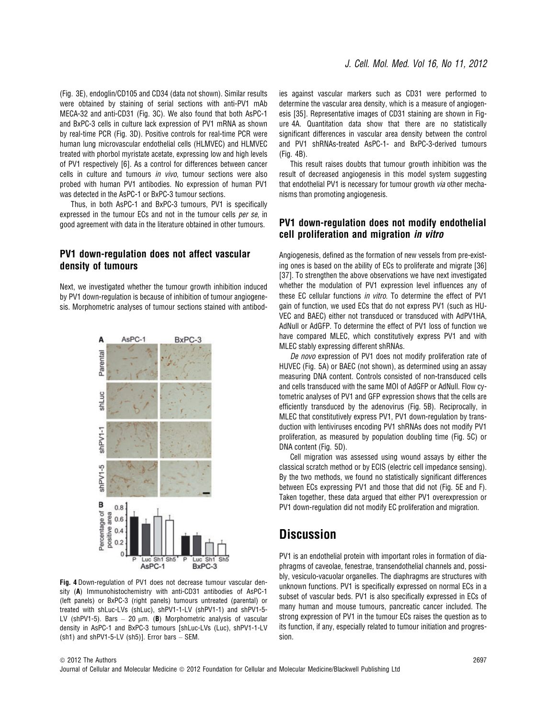(Fig. 3E), endoglin/CD105 and CD34 (data not shown). Similar results were obtained by staining of serial sections with anti-PV1 mAb MECA-32 and anti-CD31 (Fig. 3C). We also found that both AsPC-1 and BxPC-3 cells in culture lack expression of PV1 mRNA as shown by real-time PCR (Fig. 3D). Positive controls for real-time PCR were human lung microvascular endothelial cells (HLMVEC) and HLMVEC treated with phorbol myristate acetate, expressing low and high levels of PV1 respectively [6]. As a control for differences between cancer cells in culture and tumours in vivo, tumour sections were also probed with human PV1 antibodies. No expression of human PV1 was detected in the AsPC-1 or BxPC-3 tumour sections.

Thus, in both AsPC-1 and BxPC-3 tumours, PV1 is specifically expressed in the tumour ECs and not in the tumour cells per se, in good agreement with data in the literature obtained in other tumours.

#### PV1 down-regulation does not affect vascular density of tumours

Next, we investigated whether the tumour growth inhibition induced by PV1 down-regulation is because of inhibition of tumour angiogenesis. Morphometric analyses of tumour sections stained with antibod-



Fig. 4 Down-regulation of PV1 does not decrease tumour vascular density (A) Immunohistochemistry with anti-CD31 antibodies of AsPC-1 (left panels) or BxPC-3 (right panels) tumours untreated (parental) or treated with shLuc-LVs (shLuc), shPV1-1-LV (shPV1-1) and shPV1-5- LV (shPV1-5). Bars  $-20 \mu m$ . (B) Morphometric analysis of vascular density in AsPC-1 and BxPC-3 tumours [shLuc-LVs (Luc), shPV1-1-LV  $(\text{sh1})$  and shPV1-5-LV  $(\text{sh5})$ ]. Error bars - SEM.

ies against vascular markers such as CD31 were performed to determine the vascular area density, which is a measure of angiogenesis [35]. Representative images of CD31 staining are shown in Figure 4A. Quantitation data show that there are no statistically significant differences in vascular area density between the control and PV1 shRNAs-treated AsPC-1- and BxPC-3-derived tumours (Fig. 4B).

This result raises doubts that tumour growth inhibition was the result of decreased angiogenesis in this model system suggesting that endothelial PV1 is necessary for tumour growth via other mechanisms than promoting angiogenesis.

#### PV1 down-regulation does not modify endothelial cell proliferation and migration in vitro

Angiogenesis, defined as the formation of new vessels from pre-existing ones is based on the ability of ECs to proliferate and migrate [36] [37]. To strengthen the above observations we have next investigated whether the modulation of PV1 expression level influences any of these EC cellular functions in vitro. To determine the effect of PV1 gain of function, we used ECs that do not express PV1 (such as HU-VEC and BAEC) either not transduced or transduced with AdPV1HA, AdNull or AdGFP. To determine the effect of PV1 loss of function we have compared MLEC, which constitutively express PV1 and with MLEC stably expressing different shRNAs.

De novo expression of PV1 does not modify proliferation rate of HUVEC (Fig. 5A) or BAEC (not shown), as determined using an assay measuring DNA content. Controls consisted of non-transduced cells and cells transduced with the same MOI of AdGFP or AdNull. Flow cytometric analyses of PV1 and GFP expression shows that the cells are efficiently transduced by the adenovirus (Fig. 5B). Reciprocally, in MLEC that constitutively express PV1, PV1 down-regulation by transduction with lentiviruses encoding PV1 shRNAs does not modify PV1 proliferation, as measured by population doubling time (Fig. 5C) or DNA content (Fig. 5D).

Cell migration was assessed using wound assays by either the classical scratch method or by ECIS (electric cell impedance sensing). By the two methods, we found no statistically significant differences between ECs expressing PV1 and those that did not (Fig. 5E and F). Taken together, these data argued that either PV1 overexpression or PV1 down-regulation did not modify EC proliferation and migration.

## **Discussion**

PV1 is an endothelial protein with important roles in formation of diaphragms of caveolae, fenestrae, transendothelial channels and, possibly, vesiculo-vacuolar organelles. The diaphragms are structures with unknown functions. PV1 is specifically expressed on normal ECs in a subset of vascular beds. PV1 is also specifically expressed in ECs of many human and mouse tumours, pancreatic cancer included. The strong expression of PV1 in the tumour ECs raises the question as to its function, if any, especially related to tumour initiation and progression.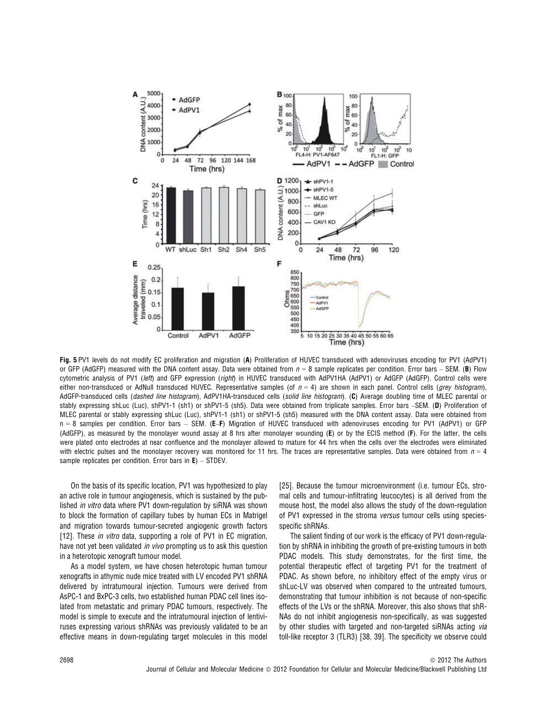

Fig. 5 PV1 levels do not modify EC proliferation and migration (A) Proliferation of HUVEC transduced with adenoviruses encoding for PV1 (AdPV1) or GFP (AdGFP) measured with the DNA content assay. Data were obtained from  $n = 8$  sample replicates per condition. Error bars – SEM. (B) Flow cytometric analysis of PV1 (left) and GFP expression (right) in HUVEC transduced with AdPV1HA (AdPV1) or AdGFP (AdGFP). Control cells were either non-transduced or AdNull transduced HUVEC. Representative samples (of  $n = 4$ ) are shown in each panel. Control cells (grey histogram), AdGFP-transduced cells (dashed line histogram), AdPV1HA-transduced cells (solid line histogram). (C) Average doubling time of MLEC parental or stably expressing shLuc (Luc), shPV1-1 (sh1) or shPV1-5 (sh5). Data were obtained from triplicate samples. Error bars -SEM. (D) Proliferation of MLEC parental or stably expressing shLuc (Luc), shPV1-1 (sh1) or shPV1-5 (sh5) measured with the DNA content assay. Data were obtained from n = 8 samples per condition. Error bars - SEM. (E-F) Migration of HUVEC transduced with adenoviruses encoding for PV1 (AdPV1) or GFP (AdGFP), as measured by the monolayer wound assay at 8 hrs after monolayer wounding (E) or by the ECIS method (F). For the latter, the cells were plated onto electrodes at near confluence and the monolayer allowed to mature for 44 hrs when the cells over the electrodes were eliminated with electric pulses and the monolayer recovery was monitored for 11 hrs. The traces are representative samples. Data were obtained from  $n = 4$ sample replicates per condition. Error bars in  $E$ ) – STDEV.

On the basis of its specific location, PV1 was hypothesized to play an active role in tumour angiogenesis, which is sustained by the published in vitro data where PV1 down-regulation by siRNA was shown to block the formation of capillary tubes by human ECs in Matrigel and migration towards tumour-secreted angiogenic growth factors [12]. These *in vitro* data, supporting a role of PV1 in EC migration, have not yet been validated *in vivo* prompting us to ask this question in a heterotopic xenograft tumour model.

As a model system, we have chosen heterotopic human tumour xenografts in athymic nude mice treated with LV encoded PV1 shRNA delivered by intratumoural injection. Tumours were derived from AsPC-1 and BxPC-3 cells, two established human PDAC cell lines isolated from metastatic and primary PDAC tumours, respectively. The model is simple to execute and the intratumoural injection of lentiviruses expressing various shRNAs was previously validated to be an effective means in down-regulating target molecules in this model [25]. Because the tumour microenvironment (i.e. tumour ECs, stromal cells and tumour-infiltrating leucocytes) is all derived from the mouse host, the model also allows the study of the down-regulation of PV1 expressed in the stroma versus tumour cells using speciesspecific shRNAs.

The salient finding of our work is the efficacy of PV1 down-regulation by shRNA in inhibiting the growth of pre-existing tumours in both PDAC models. This study demonstrates, for the first time, the potential therapeutic effect of targeting PV1 for the treatment of PDAC. As shown before, no inhibitory effect of the empty virus or shLuc-LV was observed when compared to the untreated tumours, demonstrating that tumour inhibition is not because of non-specific effects of the LVs or the shRNA. Moreover, this also shows that shR-NAs do not inhibit angiogenesis non-specifically, as was suggested by other studies with targeted and non-targeted siRNAs acting via toll-like receptor 3 (TLR3) [38, 39]. The specificity we observe could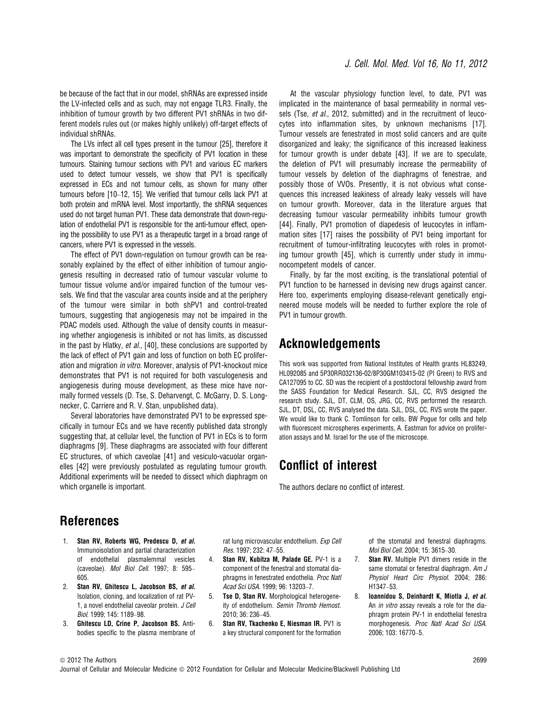be because of the fact that in our model, shRNAs are expressed inside the LV-infected cells and as such, may not engage TLR3. Finally, the inhibition of tumour growth by two different PV1 shRNAs in two different models rules out (or makes highly unlikely) off-target effects of individual shRNAs.

The LVs infect all cell types present in the tumour [25], therefore it was important to demonstrate the specificity of PV1 location in these tumours. Staining tumour sections with PV1 and various EC markers used to detect tumour vessels, we show that PV1 is specifically expressed in ECs and not tumour cells, as shown for many other tumours before [10–12, 15]. We verified that tumour cells lack PV1 at both protein and mRNA level. Most importantly, the shRNA sequences used do not target human PV1. These data demonstrate that down-regulation of endothelial PV1 is responsible for the anti-tumour effect, opening the possibility to use PV1 as a therapeutic target in a broad range of cancers, where PV1 is expressed in the vessels.

The effect of PV1 down-regulation on tumour growth can be reasonably explained by the effect of either inhibition of tumour angiogenesis resulting in decreased ratio of tumour vascular volume to tumour tissue volume and/or impaired function of the tumour vessels. We find that the vascular area counts inside and at the periphery of the tumour were similar in both shPV1 and control-treated tumours, suggesting that angiogenesis may not be impaired in the PDAC models used. Although the value of density counts in measuring whether angiogenesis is inhibited or not has limits, as discussed in the past by Hlatky, et al., [40], these conclusions are supported by the lack of effect of PV1 gain and loss of function on both EC proliferation and migration in vitro. Moreover, analysis of PV1-knockout mice demonstrates that PV1 is not required for both vasculogenesis and angiogenesis during mouse development, as these mice have normally formed vessels (D. Tse, S. Deharvengt, C. McGarry, D. S. Longnecker, C. Carriere and R. V. Stan, unpublished data).

Several laboratories have demonstrated PV1 to be expressed specifically in tumour ECs and we have recently published data strongly suggesting that, at cellular level, the function of PV1 in ECs is to form diaphragms [9]. These diaphragms are associated with four different EC structures, of which caveolae [41] and vesiculo-vacuolar organelles [42] were previously postulated as regulating tumour growth. Additional experiments will be needed to dissect which diaphragm on which organelle is important.

At the vascular physiology function level, to date, PV1 was implicated in the maintenance of basal permeability in normal vessels (Tse, et al., 2012, submitted) and in the recruitment of leucocytes into inflammation sites, by unknown mechanisms [17]. Tumour vessels are fenestrated in most solid cancers and are quite disorganized and leaky; the significance of this increased leakiness for tumour growth is under debate [43]. If we are to speculate, the deletion of PV1 will presumably increase the permeability of tumour vessels by deletion of the diaphragms of fenestrae, and possibly those of VVOs. Presently, it is not obvious what consequences this increased leakiness of already leaky vessels will have on tumour growth. Moreover, data in the literature argues that decreasing tumour vascular permeability inhibits tumour growth [44]. Finally, PV1 promotion of diapedesis of leucocytes in inflammation sites [17] raises the possibility of PV1 being important for recruitment of tumour-infiltrating leucocytes with roles in promoting tumour growth [45], which is currently under study in immunocompetent models of cancer.

Finally, by far the most exciting, is the translational potential of PV1 function to be harnessed in devising new drugs against cancer. Here too, experiments employing disease-relevant genetically engineered mouse models will be needed to further explore the role of PV1 in tumour growth.

### Acknowledgements

This work was supported from National Institutes of Health grants HL83249, HL092085 and 5P30RR032136-02/8P30GM103415-02 (PI Green) to RVS and CA127095 to CC. SD was the recipient of a postdoctoral fellowship award from the SASS Foundation for Medical Research. SJL, CC, RVS designed the research study. SJL, DT, CLM, OS, JRG, CC, RVS performed the research. SJL, DT, DSL, CC, RVS analysed the data. SJL, DSL, CC, RVS wrote the paper. We would like to thank C. Tomlinson for cells, BW Pogue for cells and help with fluorescent microspheres experiments, A. Eastman for advice on proliferation assays and M. Israel for the use of the microscope.

## Conflict of interest

The authors declare no conflict of interest.

# References

- 1. Stan RV, Roberts WG, Predescu D, et al. Immunoisolation and partial characterization of endothelial plasmalemmal vesicles (caveolae). Mol Biol Cell. 1997; 8: 595– 605.
- 2. Stan RV, Ghitescu L, Jacobson BS, et al. Isolation, cloning, and localization of rat PV-1, a novel endothelial caveolar protein. J Cell Biol. 1999; 145: 1189–98.
- 3. Ghitescu LD, Crine P, Jacobson BS. Antibodies specific to the plasma membrane of

rat lung microvascular endothelium. Exp Cell Res. 1997; 232: 47–55.

- 4. Stan RV, Kubitza M, Palade GE. PV-1 is a component of the fenestral and stomatal diaphragms in fenestrated endothelia. Proc Natl Acad Sci USA. 1999; 96: 13203–7.
- 5. Tse D, Stan RV. Morphological heterogeneity of endothelium. Semin Thromb Hemost. 2010; 36: 236–45.
- 6. Stan RV, Tkachenko E, Niesman IR. PV1 is a key structural component for the formation

of the stomatal and fenestral diaphragms. Mol Biol Cell. 2004; 15: 3615–30.

- 7. Stan RV. Multiple PV1 dimers reside in the same stomatal or fenestral diaphragm. Am J Physiol Heart Circ Physiol. 2004; 286: H1347–53.
- 8. Ioannidou S, Deinhardt K, Miotla J, et al. An *in vitro* assay reveals a role for the diaphragm protein PV-1 in endothelial fenestra morphogenesis. Proc Natl Acad Sci USA. 2006; 103: 16770–5.